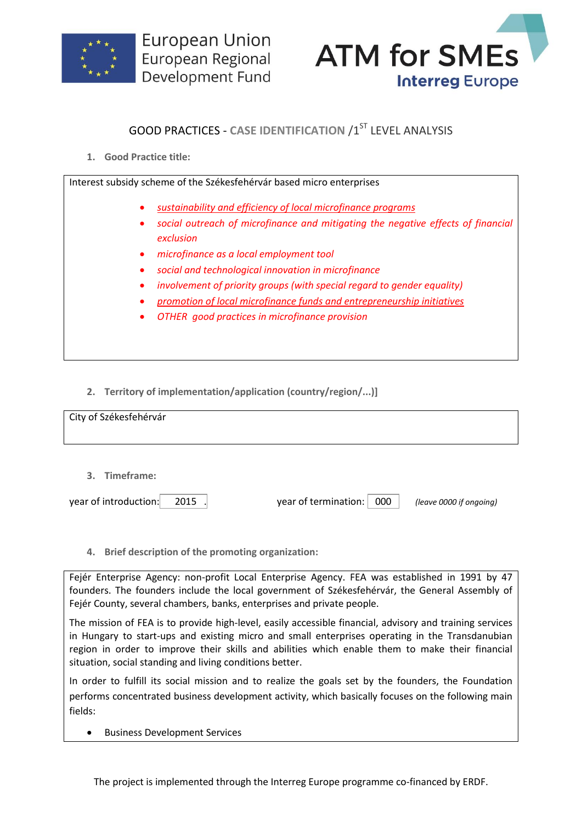



## **GOOD PRACTICES - CASE IDENTIFICATION /1ST LEVEL ANALYSIS**

**1. Good Practice title:**

Interest subsidy scheme of the Székesfehérvár based micro enterprises

- *sustainability and efficiency of local microfinance programs*
- *social outreach of microfinance and mitigating the negative effects of financial exclusion*
- *microfinance as a local employment tool*
- *social and technological innovation in microfinance*
- *involvement of priority groups (with special regard to gender equality)*
- *promotion of local microfinance funds and entrepreneurship initiatives*
- *OTHER good practices in microfinance provision*
- **2. Territory of implementation/application (country/region/...)]**

| City of Székesfehérvár |  |  |
|------------------------|--|--|
| 3. Timeframe:          |  |  |

year of introduction: 2015 . year of termination: 000 *(leave 0000 if ongoing)*

**4. Brief description of the promoting organization:**

Fejér Enterprise Agency: non-profit Local Enterprise Agency. FEA was established in 1991 by 47 founders. The founders include the local government of Székesfehérvár, the General Assembly of Fejér County, several chambers, banks, enterprises and private people.

The mission of FEA is to provide high-level, easily accessible financial, advisory and training services in Hungary to start-ups and existing micro and small enterprises operating in the Transdanubian region in order to improve their skills and abilities which enable them to make their financial situation, social standing and living conditions better.

In order to fulfill its social mission and to realize the goals set by the founders, the Foundation performs concentrated business development activity, which basically focuses on the following main fields:

**•** Business Development Services

The project is implemented through the Interreg Europe programme co-financed by ERDF.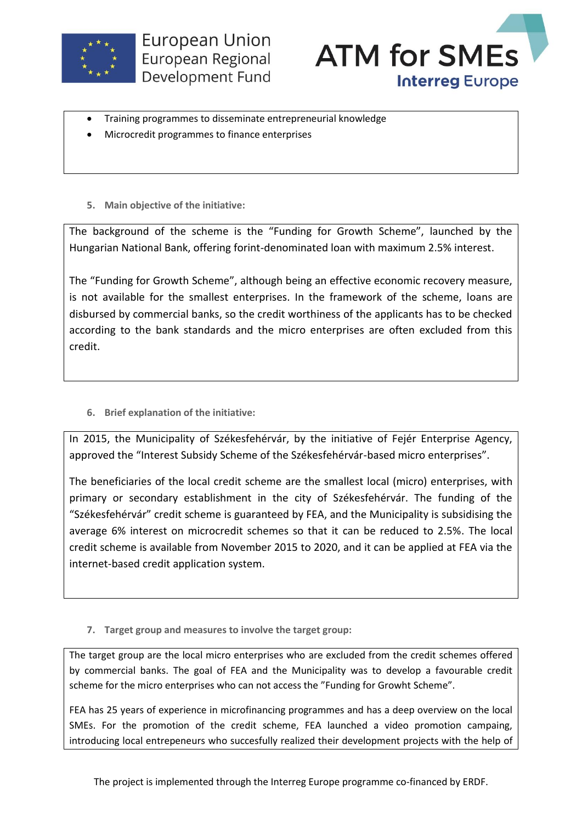



- Training programmes to disseminate entrepreneurial knowledge
- Microcredit programmes to finance enterprises
- **5. Main objective of the initiative:**

The background of the scheme is the "Funding for Growth Scheme", launched by the Hungarian National Bank, offering forint-denominated loan with maximum 2.5% interest.

The "Funding for Growth Scheme", although being an effective economic recovery measure, is not available for the smallest enterprises. In the framework of the scheme, loans are disbursed by commercial banks, so the credit worthiness of the applicants has to be checked according to the bank standards and the micro enterprises are often excluded from this credit.

**6. Brief explanation of the initiative:**

In 2015, the Municipality of Székesfehérvár, by the initiative of Fejér Enterprise Agency, approved the "Interest Subsidy Scheme of the Székesfehérvár-based micro enterprises".

The beneficiaries of the local credit scheme are the smallest local (micro) enterprises, with primary or secondary establishment in the city of Székesfehérvár. The funding of the "Székesfehérvár" credit scheme is guaranteed by FEA, and the Municipality is subsidising the average 6% interest on microcredit schemes so that it can be reduced to 2.5%. The local credit scheme is available from November 2015 to 2020, and it can be applied at FEA via the internet-based credit application system.

**7. Target group and measures to involve the target group:**

The target group are the local micro enterprises who are excluded from the credit schemes offered by commercial banks. The goal of FEA and the Municipality was to develop a favourable credit scheme for the micro enterprises who can not access the "Funding for Growht Scheme".

FEA has 25 years of experience in microfinancing programmes and has a deep overview on the local SMEs. For the promotion of the credit scheme, FEA launched a video promotion campaing, introducing local entrepeneurs who succesfully realized their development projects with the help of